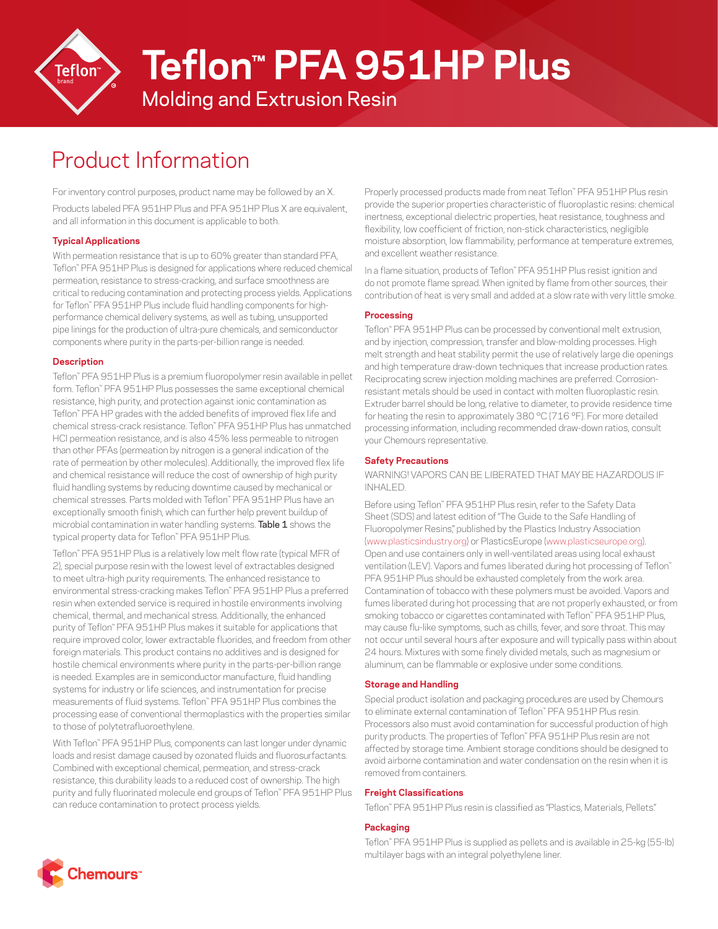

# **Teflon™ PFA 951HP Plus**

Molding and Extrusion Resin

# Product Information

For inventory control purposes, product name may be followed by an X. Products labeled PFA 951HP Plus and PFA 951HP Plus X are equivalent, and all information in this document is applicable to both.

# **Typical Applications**

With permeation resistance that is up to 60% greater than standard PFA, Teflon™ PFA 951HP Plus is designed for applications where reduced chemical permeation, resistance to stress-cracking, and surface smoothness are critical to reducing contamination and protecting process yields. Applications for Teflon™ PFA 951HP Plus include fluid handling components for highperformance chemical delivery systems, as well as tubing, unsupported pipe linings for the production of ultra-pure chemicals, and semiconductor components where purity in the parts-per-billion range is needed.

#### **Description**

Teflon™ PFA 951HP Plus is a premium fluoropolymer resin available in pellet form. Teflon™ PFA 951HP Plus possesses the same exceptional chemical resistance, high purity, and protection against ionic contamination as Teflon™ PFA HP grades with the added benefits of improved flex life and chemical stress-crack resistance. Teflon™ PFA 951HP Plus has unmatched HCl permeation resistance, and is also 45% less permeable to nitrogen than other PFAs (permeation by nitrogen is a general indication of the rate of permeation by other molecules). Additionally, the improved flex life and chemical resistance will reduce the cost of ownership of high purity fluid handling systems by reducing downtime caused by mechanical or chemical stresses. Parts molded with Teflon™ PFA 951HP Plus have an exceptionally smooth finish, which can further help prevent buildup of microbial contamination in water handling systems. Table 1 shows the typical property data for Teflon™ PFA 951HP Plus.

Teflon™ PFA 951HP Plus is a relatively low melt flow rate (typical MFR of 2), special purpose resin with the lowest level of extractables designed to meet ultra-high purity requirements. The enhanced resistance to environmental stress-cracking makes Teflon™ PFA 951HP Plus a preferred resin when extended service is required in hostile environments involving chemical, thermal, and mechanical stress. Additionally, the enhanced purity of Teflon™ PFA 951HP Plus makes it suitable for applications that require improved color, lower extractable fluorides, and freedom from other foreign materials. This product contains no additives and is designed for hostile chemical environments where purity in the parts-per-billion range is needed. Examples are in semiconductor manufacture, fluid handling systems for industry or life sciences, and instrumentation for precise measurements of fluid systems. Teflon™ PFA 951HP Plus combines the processing ease of conventional thermoplastics with the properties similar to those of polytetrafluoroethylene.

With Teflon™ PFA 951HP Plus, components can last longer under dynamic loads and resist damage caused by ozonated fluids and fluorosurfactants. Combined with exceptional chemical, permeation, and stress-crack resistance, this durability leads to a reduced cost of ownership. The high purity and fully fluorinated molecule end groups of Teflon™ PFA 951HP Plus can reduce contamination to protect process yields.

Properly processed products made from neat Teflon™ PFA 951HP Plus resin provide the superior properties characteristic of fluoroplastic resins: chemical inertness, exceptional dielectric properties, heat resistance, toughness and flexibility, low coefficient of friction, non-stick characteristics, negligible moisture absorption, low flammability, performance at temperature extremes, and excellent weather resistance.

In a flame situation, products of Teflon™ PFA 951HP Plus resist ignition and do not promote flame spread. When ignited by flame from other sources, their contribution of heat is very small and added at a slow rate with very little smoke.

# **Processing**

Teflon™ PFA 951HP Plus can be processed by conventional melt extrusion, and by injection, compression, transfer and blow-molding processes. High melt strength and heat stability permit the use of relatively large die openings and high temperature draw-down techniques that increase production rates. Reciprocating screw injection molding machines are preferred. Corrosionresistant metals should be used in contact with molten fluoroplastic resin. Extruder barrel should be long, relative to diameter, to provide residence time for heating the resin to approximately 380 °C (716 °F). For more detailed processing information, including recommended draw-down ratios, consult your Chemours representative.

### **Safety Precautions**

WARNING! VAPORS CAN BE LIBERATED THAT MAY BE HAZARDOUS IF INHALED.

Before using Teflon™ PFA 951HP Plus resin, refer to the Safety Data Sheet (SDS) and latest edition of "The Guide to the Safe Handling of Fluoropolymer Resins," published by the Plastics Industry Association ([www.plasticsindustry.org](http://www.plasticsindustry.org)) or PlasticsEurope [\(www.plasticseurope.org\)](http://www.plasticseurope.org). Open and use containers only in well-ventilated areas using local exhaust ventilation (LEV). Vapors and fumes liberated during hot processing of Teflon™ PFA 951HP Plus should be exhausted completely from the work area. Contamination of tobacco with these polymers must be avoided. Vapors and fumes liberated during hot processing that are not properly exhausted, or from smoking tobacco or cigarettes contaminated with Teflon™ PFA 951HP Plus, may cause flu-like symptoms, such as chills, fever, and sore throat. This may not occur until several hours after exposure and will typically pass within about 24 hours. Mixtures with some finely divided metals, such as magnesium or aluminum, can be flammable or explosive under some conditions.

#### **Storage and Handling**

Special product isolation and packaging procedures are used by Chemours to eliminate external contamination of Teflon™ PFA 951HP Plus resin. Processors also must avoid contamination for successful production of high purity products. The properties of Teflon™ PFA 951HP Plus resin are not affected by storage time. Ambient storage conditions should be designed to avoid airborne contamination and water condensation on the resin when it is removed from containers.

## **Freight Classifications**

Teflon™ PFA 951HP Plus resin is classified as "Plastics, Materials, Pellets."

#### **Packaging**

Teflon™ PFA 951HP Plus is supplied as pellets and is available in 25-kg (55-lb) multilayer bags with an integral polyethylene liner.